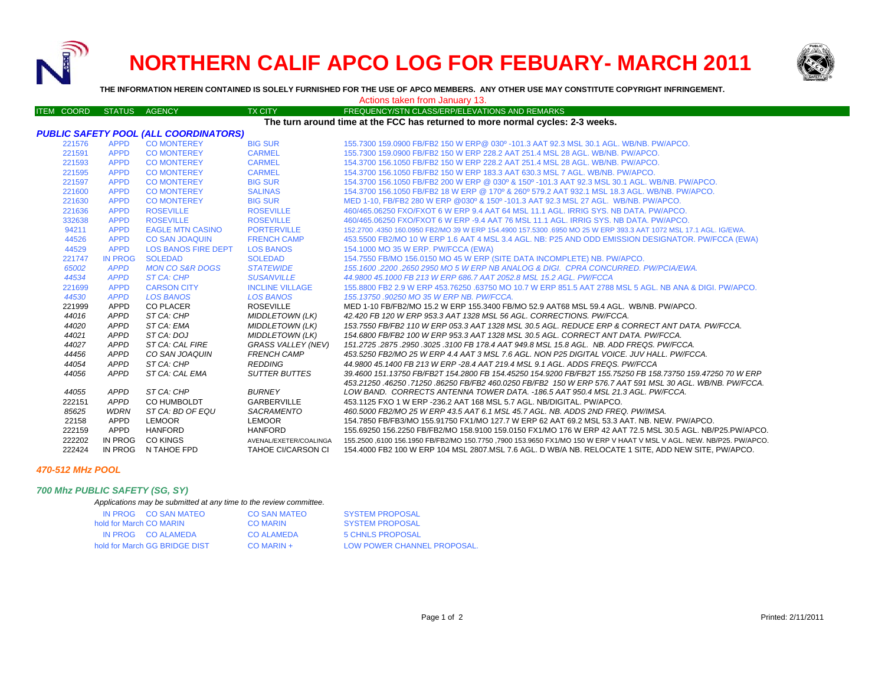

# **NORTHERN CALIF APCO LOG FOR FEBUARY- MARCH 2011**



**THE INFORMATION HEREIN CONTAINED IS SOLELY FURNISHED FOR THE USE OF APCO MEMBERS. ANY OTHER USE MAY CONSTITUTE COPYRIGHT INFRINGEMENT.**

| Actions taken from January 13.                                                 |                 |                            |                                                     |                                                                                                                                                                                                                                  |  |  |  |  |  |
|--------------------------------------------------------------------------------|-----------------|----------------------------|-----------------------------------------------------|----------------------------------------------------------------------------------------------------------------------------------------------------------------------------------------------------------------------------------|--|--|--|--|--|
| <b>ITEM COORD</b>                                                              | <b>STATUS</b>   | AGENCY                     | <b>TX CITY</b>                                      | FREQUENCY/STN CLASS/ERP/ELEVATIONS AND REMARKS                                                                                                                                                                                   |  |  |  |  |  |
| The turn around time at the FCC has returned to more normal cycles: 2-3 weeks. |                 |                            |                                                     |                                                                                                                                                                                                                                  |  |  |  |  |  |
| PUBLIC SAFETY POOL (ALL COORDINATORS)                                          |                 |                            |                                                     |                                                                                                                                                                                                                                  |  |  |  |  |  |
| 221576                                                                         | <b>APPD</b>     | <b>CO MONTEREY</b>         | <b>BIG SUR</b>                                      | 155.7300 159.0900 FB/FB2 150 W ERP@ 030º -101.3 AAT 92.3 MSL 30.1 AGL. WB/NB. PW/APCO.                                                                                                                                           |  |  |  |  |  |
| 221591                                                                         | <b>APPD</b>     | <b>CO MONTEREY</b>         | <b>CARMEL</b>                                       | 155.7300 159.0900 FB/FB2 150 W ERP 228.2 AAT 251.4 MSL 28 AGL, WB/NB, PW/APCO,                                                                                                                                                   |  |  |  |  |  |
| 221593                                                                         | <b>APPD</b>     | <b>CO MONTEREY</b>         | <b>CARMEL</b>                                       | 154,3700 156,1050 FB/FB2 150 W ERP 228.2 AAT 251.4 MSL 28 AGL, WB/NB, PW/APCO,                                                                                                                                                   |  |  |  |  |  |
| 221595                                                                         | <b>APPD</b>     | <b>CO MONTEREY</b>         | <b>CARMEL</b>                                       | 154.3700 156.1050 FB/FB2 150 W ERP 183.3 AAT 630.3 MSL 7 AGL. WB/NB. PW/APCO.                                                                                                                                                    |  |  |  |  |  |
| 221597                                                                         | <b>APPD</b>     | <b>CO MONTEREY</b>         | <b>BIG SUR</b>                                      | 154.3700 156.1050 FB/FB2 200 W ERP @ 030° & 150° -101.3 AAT 92.3 MSL 30.1 AGL. WB/NB, PW/APCO,                                                                                                                                   |  |  |  |  |  |
| 221600                                                                         | <b>APPD</b>     | <b>CO MONTEREY</b>         | <b>SALINAS</b>                                      | 154.3700 156.1050 FB/FB2 18 W ERP @ 170° & 260° 579.2 AAT 932.1 MSL 18.3 AGL, WB/NB, PW/APCO,                                                                                                                                    |  |  |  |  |  |
| 221630                                                                         | <b>APPD</b>     | <b>CO MONTEREY</b>         | <b>BIG SUR</b>                                      | MED 1-10, FB/FB2 280 W ERP @030° & 150° -101.3 AAT 92.3 MSL 27 AGL. WB/NB, PW/APCO,                                                                                                                                              |  |  |  |  |  |
| 221636                                                                         | <b>APPD</b>     | <b>ROSEVILLE</b>           | <b>ROSEVILLE</b>                                    | 460/465,06250 FXO/FXOT 6 W ERP 9.4 AAT 64 MSL 11.1 AGL, IRRIG SYS, NB DATA, PW/APCO,                                                                                                                                             |  |  |  |  |  |
| 332638                                                                         | <b>APPD</b>     | <b>ROSEVILLE</b>           | <b>ROSEVILLE</b>                                    | 460/465,06250 FXO/FXOT 6 W ERP -9.4 AAT 76 MSL 11.1 AGL, IRRIG SYS, NB DATA, PW/APCO,                                                                                                                                            |  |  |  |  |  |
| 94211                                                                          | <b>APPD</b>     | <b>EAGLE MTN CASINO</b>    | <b>PORTERVILLE</b>                                  | 152,2700 .4350 160,0950 FB2/MO 39 W ERP 154,4900 157,5300 .6950 MO 25 W ERP 393,3 AAT 1072 MSL 17.1 AGL, IG/EWA                                                                                                                  |  |  |  |  |  |
| 44526                                                                          | <b>APPD</b>     | <b>CO SAN JOAQUIN</b>      | <b>FRENCH CAMP</b>                                  | 453.5500 FB2/MO 10 W ERP 1.6 AAT 4 MSL 3.4 AGL. NB: P25 AND ODD EMISSION DESIGNATOR. PW/FCCA (EWA)                                                                                                                               |  |  |  |  |  |
| 44529                                                                          | <b>APPD</b>     | <b>LOS BANOS FIRE DEPT</b> | <b>LOS BANOS</b>                                    | 154.1000 MO 35 W ERP. PW/FCCA (EWA)                                                                                                                                                                                              |  |  |  |  |  |
| 221747                                                                         | <b>IN PROG</b>  | <b>SOLEDAD</b>             | <b>SOLEDAD</b>                                      | 154.7550 FB/MO 156.0150 MO 45 W ERP (SITE DATA INCOMPLETE) NB. PW/APCO.                                                                                                                                                          |  |  |  |  |  |
| 65002                                                                          | <b>APPD</b>     | <b>MON CO S&amp;R DOGS</b> | <b>STATEWIDE</b>                                    | 155.1600.2200.2650 2950 MO 5 W ERP NB ANALOG & DIGI. CPRA CONCURRED, PW/PCIA/EWA.                                                                                                                                                |  |  |  |  |  |
| 44534                                                                          | <b>APPD</b>     | <b>ST CA: CHP</b>          | <b>SUSANVILLE</b>                                   | 44.9800 45.1000 FB 213 W ERP 686.7 AAT 2052.8 MSL 15.2 AGL. PW/FCCA                                                                                                                                                              |  |  |  |  |  |
| 221699                                                                         | <b>APPD</b>     | <b>CARSON CITY</b>         | <b>INCLINE VILLAGE</b>                              | 155,8800 FB2 2.9 W ERP 453,76250 .63750 MO 10.7 W ERP 851.5 AAT 2788 MSL 5 AGL. NB ANA & DIGI, PW/APCO,                                                                                                                          |  |  |  |  |  |
| 44530                                                                          | <b>APPD</b>     | <b>LOS BANOS</b>           | <b>LOS BANOS</b>                                    | 155.13750.90250 MO 35 W ERP NB. PW/FCCA.                                                                                                                                                                                         |  |  |  |  |  |
| 221999                                                                         | APPD            | <b>CO PLACER</b>           | <b>ROSEVILLE</b>                                    | MED 1-10 FB/FB2/MO 15.2 W ERP 155.3400 FB/MO 52.9 AAT68 MSL 59.4 AGL. WB/NB. PW/APCO.                                                                                                                                            |  |  |  |  |  |
| 44016                                                                          | APPD            | ST CA: CHP                 | <b>MIDDLETOWN (LK)</b>                              | 42.420 FB 120 W ERP 953.3 AAT 1328 MSL 56 AGL. CORRECTIONS. PW/FCCA.                                                                                                                                                             |  |  |  |  |  |
| 44020                                                                          | APPD            | ST CA: EMA                 | <b>MIDDLETOWN (LK)</b>                              | 153.7550 FB/FB2 110 W ERP 053.3 AAT 1328 MSL 30.5 AGL. REDUCE ERP & CORRECT ANT DATA. PW/FCCA.                                                                                                                                   |  |  |  |  |  |
| 44021                                                                          | APPD            | ST CA: DOJ                 | <b>MIDDLETOWN (LK)</b>                              | 154.6800 FB/FB2 100 W ERP 953.3 AAT 1328 MSL 30.5 AGL. CORRECT ANT DATA. PW/FCCA.                                                                                                                                                |  |  |  |  |  |
| 44027                                                                          | APPD            | ST CA: CAL FIRE            | <b>GRASS VALLEY (NEV)</b>                           | 151.2725 .2875 .2950 .3025 .3100 FB 178.4 AAT 949.8 MSL 15.8 AGL. NB. ADD FREQS. PW/FCCA.                                                                                                                                        |  |  |  |  |  |
| 44456                                                                          | APPD            | CO SAN JOAQUIN             | <b>FRENCH CAMP</b>                                  | 453.5250 FB2/MO 25 W ERP 4.4 AAT 3 MSL 7.6 AGL. NON P25 DIGITAL VOICE. JUV HALL. PW/FCCA.                                                                                                                                        |  |  |  |  |  |
| 44054                                                                          | APPD            | ST CA: CHP                 | <b>REDDING</b>                                      | 44,9800 45,1400 FB 213 W ERP -28.4 AAT 219.4 MSL 9.1 AGL, ADDS FREQS, PW/FCCA                                                                                                                                                    |  |  |  |  |  |
| 44056                                                                          | <b>APPD</b>     | ST CA: CAL EMA             | <b>SUTTER BUTTES</b>                                | 39.4600 151.13750 FB/FB2T 154.2800 FB 154.45250 154.9200 FB/FB2T 155.75250 FB 158.73750 159.47250 70 W ERP                                                                                                                       |  |  |  |  |  |
|                                                                                |                 |                            |                                                     | .453.21250 .46250 .71250 .86250 FB/FB2 460.0250 FB/FB2 .150 W ERP 576.7 AAT 591 MSL 30 AGL. WB/NB. PW/FCCA                                                                                                                       |  |  |  |  |  |
| 44055                                                                          | APPD            | ST CA: CHP                 | <b>BURNEY</b>                                       | LOW BAND. CORRECTS ANTENNA TOWER DATA. - 186.5 AAT 950.4 MSL 21.3 AGL. PW/FCCA.                                                                                                                                                  |  |  |  |  |  |
| 222151                                                                         | APPD            | CO HUMBOLDT                | <b>GARBERVILLE</b>                                  | 453.1125 FXO 1 W ERP - 236.2 AAT 168 MSL 5.7 AGL. NB/DIGITAL. PW/APCO.                                                                                                                                                           |  |  |  |  |  |
| 85625                                                                          | WDRN            | ST CA: BD OF EQU           | SACRAMENTO                                          | 460.5000 FB2/MO 25 W ERP 43.5 AAT 6.1 MSL 45.7 AGL. NB. ADDS 2ND FREQ. PW/IMSA.                                                                                                                                                  |  |  |  |  |  |
| 22158                                                                          | APPD            | LEMOOR                     | <b>LEMOOR</b><br><b>HANFORD</b>                     | 154.7850 FB/FB3/MO 155.91750 FX1/MO 127.7 W ERP 62 AAT 69.2 MSL 53.3 AAT. NB. NEW. PW/APCO.                                                                                                                                      |  |  |  |  |  |
| 222159<br>222202                                                               | APPD<br>IN PROG | <b>HANFORD</b><br>CO KINGS |                                                     | 155.69250 156.2250 FB/FB2/MO 158.9100 159.0150 FX1/MO 176 W ERP 42 AAT 72.5 MSL 30.5 AGL. NB/P25.PW/APCO.<br>155.2500 6100 156.1950 FB/FB2/MO 150.7750 .7900 153.9650 FX1/MO 150 W ERP V HAAT V MSL V AGL. NEW. NB/P25. PW/APCO. |  |  |  |  |  |
| 222424                                                                         |                 | IN PROG N TAHOE FPD        | AVENAL/EXETER/COALINGA<br><b>TAHOE CI/CARSON CI</b> | 154.4000 FB2 100 W ERP 104 MSL 2807 MSL 7.6 AGL. D WB/A NB. RELOCATE 1 SITE, ADD NEW SITE, PW/APCO.                                                                                                                              |  |  |  |  |  |
|                                                                                |                 |                            |                                                     |                                                                                                                                                                                                                                  |  |  |  |  |  |

#### *470-512 MHz POOL*

## *700 Mhz PUBLIC SAFETY (SG, SY)*

*Applications may be submitted at any time to the review committee.*

| IN PROG CO SAN MATEO          | CO SAN MATEO | <b>SYSTEM PROPOSAL</b>      |
|-------------------------------|--------------|-----------------------------|
| hold for March CO MARIN       | CO MARIN     | <b>SYSTEM PROPOSAL</b>      |
| IN PROG CO ALAMEDA            | CO ALAMEDA   | 5 CHNLS PROPOSAL            |
| hold for March GG BRIDGE DIST | $CO$ MARIN + | LOW POWER CHANNEL PROPOSAL. |